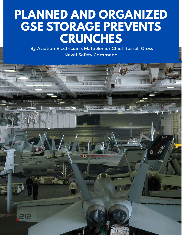## **PLANNED AND ORGANIZED GSE STORAGE PREVENTS CRUNCHES**

By Aviation Electrician's Mate Senior Chief Russell Gross Naval Safety Command

 $\bullet$ 

200

212

 $VFA - H$ 

p

00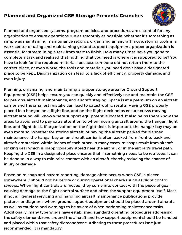## **Planned and Organized GSE Storage Prevents Crunches**



Planned and organized systems, program policies, and procedures are essential for any organization to ensure operations run as smoothly as possible. Whether it's something as simple as maintaining maintenance records, organizing an aircraft move, storing tools in a work center or using and maintaining ground support equipment, proper organization is essential for streamlining a task from start to finish. How many times have you gone to complete a task and realized that nothing that you need is where it is supposed to be? You have to look for the required materials because someone did not return them to the correct place, or even worse, the tools and materials you need don't have a designated place to be kept. Disorganization can lead to a lack of efficiency, property damage, and even injury.

Planning, organizing, and maintaining a proper storage area for Ground Support Equipment (GSE) helps ensure you can quickly and effectively use and maintain the GSE for pre-ops, aircraft maintenance, and aircraft staging. Space is at a premium on an aircraft carrier and the smallest mistake can lead to catastrophic results. Having GSE properly placed in a hangar, on a flight line, and on the flight deck helps ensure crews moving aircraft around will know where support equipment is located. It also helps them know the areas to avoid and to pay extra attention to when moving aircraft around the hangar, flight line, and flight deck. If organization on the flight deck is important, the hangar bay may be even more so. Whether for storing aircraft, or having the aircraft parked for planned maintenance, the hangar bay on an aircraft carrier is often packed from front to back and aircraft are stacked within inches of each other. In many cases, mishaps result from aircraft striking gear which is inappropriately stored near the aircraft or in the aircraft's travel path. Keeping the GSE in a designated place ensures that if something needs to be retrieved, it can be done so in a way to minimize contact with an aircraft, thereby reducing the chance of injury or damage.

Based on mishap and hazard reporting, damage often occurs when GSE is placed somewhere it should not be before or during operational checks such as flight control sweeps. When flight controls are moved, they come into contact with the piece of gear causing damage to the flight control surface and often the support equipment itself. Most, if not all, general servicing and handling aircraft maintenance publications provide pictures or diagrams where ground support equipment should be placed around aircraft, as well as cautions and warnings to be aware of when performing maintenance tasks. Additionally, many type wings have established standard operating procedures addressing the safety diamond/zone around the aircraft and how support equipment should be handled and placed within that safety diamond/zone. Adhering to these procedures isn't just recommended, it is mandatory.